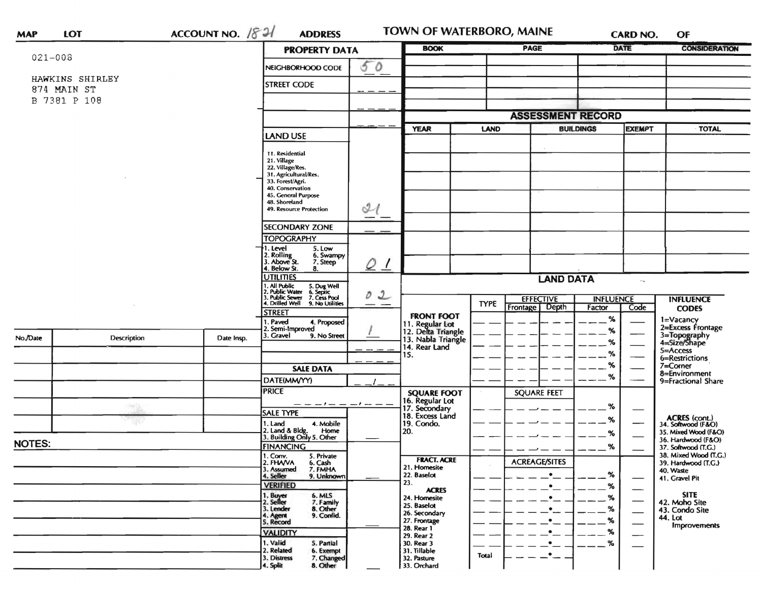| <b>DATE</b><br><b>PAGE</b><br><b>BOOK</b><br><b>PROPERTY DATA</b><br>$021 - 008$<br>50<br>NEIGHBORHOOD CODE<br>HAWKINS SHIRLEY<br><b>STREET CODE</b><br>874 MAIN ST<br>B 7381 P 108<br><b>ASSESSMENT RECORD</b><br><b>BUILDINGS</b><br><b>EXEMPT</b><br><b>TOTAL</b><br><b>YEAR</b><br><b>LAND</b><br><b>LAND USE</b><br>11. Residential<br>21. Village<br>22. Village/Res.<br>31. Agricultural/Res.<br>33. Forest/Agri.<br>40. Conservation<br>45. General Purpose<br>48. Shoreland<br>$\mathcal{U}$<br>49. Resource Protection<br><b>SECONDARY ZONE</b><br><b>TOPOGRAPHY</b><br>I. Level<br>5. Low<br>2. Rolling<br>3. Above St.<br>6. Swampy<br>7. Steep<br>$Q_{\perp}$<br>4. Below St.<br>8.<br><b>UTILITIES</b><br><b>LAND DATA</b><br>$\mathcal{R}^{\mu}$ (<br>1. All Public<br>2. Public Water<br>3. Public Sewer<br>5. Dug Well<br>6. Septic<br>7. Cess Pool<br>02<br><b>EFFECTIVE</b><br><b>INFLUENCE</b><br><b>INFLUENCE</b><br><b>TYPE</b><br>I. Drilled Well<br>9. No Utilities<br><b>Depth</b><br><b>Frontage</b><br>Factor<br>Code<br><b>CODES</b><br>street<br><b>FRONT FOOT</b><br>$\%$<br>1=Vacancy<br>Paved<br>4. Proposed<br>11. Regular Lot<br>12. Delta Triangle<br>13. Nabla Triangle<br>2=Excess Frontage<br>Semi-Improved<br>%<br>3=Topography<br>4=Size/Shape<br>3. Gravel<br>9. No Street<br>No./Date<br>Description<br>Date Insp.<br>℅<br>14. Rear Land<br>5=Access<br>%<br>15.<br>6=Restrictions<br>%<br>$7 =$ Corner<br><b>SALE DATA</b><br>8=Environment<br>%<br>DATE(MM/YY)<br>9=Fractional Share<br><b>PRICE</b><br><b>SQUARE FEET</b><br><b>SQUARE FOOT</b><br>16. Regular Lot<br>17. Secondary<br>%<br>SALE TYPE<br>18. Excess Land<br>ACRES (cont.)<br>34. Softwood (F&O)<br>%<br>1. Land<br>4. Mobile<br>19. Condo.<br>2. Land & Bldg. Home<br>3. Building Only 5. Other<br>Home<br>20.<br>35. Mixed Wood (F&O)<br>%<br>36. Hardwood (F&O)<br><b>FINANCING</b><br>%<br>37. Softwood (T.G.)<br>38. Mixed Wood (T.G.)<br>1. Conv.<br>5. Private<br><b>FRACT. ACRE</b><br><b>ACREAGE/SITES</b><br>2. FHAVA<br>6. Cash<br>39. Hardwood (T.G.)<br>21. Homesite<br>3. Assumed<br>7. FMHA<br>40. Waste<br>%<br>$\bullet$<br>22. Baselot<br>4. Seller<br>9. Unknown<br>41. Gravel Pit<br>23.<br><b>VERIFIED</b><br>%<br>$\bullet$<br><b>ACRES</b><br><b>SITE</b><br>1. Buyer<br>2. Seller<br>6. MLS<br>7. Family<br>$\%$<br>24. Homesite<br>$\bullet$<br>42. Moho Site<br>25. Baselot<br>3. Lender<br>8. Other<br>%<br>$\bullet$<br>43. Condo Site<br>26. Secondary<br>9. Confid.<br>4. Agent<br>5. Record<br>44. Lot<br>%<br>27. Frontage<br>$\bullet$<br><b>Improvements</b><br>28. Rear 1<br>%<br>$\bullet$<br><b>VALIDITY</b><br>29. Rear 2<br>1. Valid<br>$\%$<br>5. Partial<br>30. Rear 3<br>$\bullet$<br>2. Related<br>31. Tillable<br>6. Exempt<br>$\bullet$<br>Total<br>3. Distress<br>7. Changed<br>32. Pasture | <b>MAP</b> | <b>LOT</b> | ACCOUNT NO. $1821$ | <b>ADDRESS</b>       |  | <b>TOWN OF WATERBORO, MAINE</b> |  |  |  | <b>CARD NO.</b> | OF                   |
|-------------------------------------------------------------------------------------------------------------------------------------------------------------------------------------------------------------------------------------------------------------------------------------------------------------------------------------------------------------------------------------------------------------------------------------------------------------------------------------------------------------------------------------------------------------------------------------------------------------------------------------------------------------------------------------------------------------------------------------------------------------------------------------------------------------------------------------------------------------------------------------------------------------------------------------------------------------------------------------------------------------------------------------------------------------------------------------------------------------------------------------------------------------------------------------------------------------------------------------------------------------------------------------------------------------------------------------------------------------------------------------------------------------------------------------------------------------------------------------------------------------------------------------------------------------------------------------------------------------------------------------------------------------------------------------------------------------------------------------------------------------------------------------------------------------------------------------------------------------------------------------------------------------------------------------------------------------------------------------------------------------------------------------------------------------------------------------------------------------------------------------------------------------------------------------------------------------------------------------------------------------------------------------------------------------------------------------------------------------------------------------------------------------------------------------------------------------------------------------------------------------------------------------------------------------------------------------------------------------------------------------------------------------------------------------------------------------------------------------------------------------------------------------------------------------------------------------------------------|------------|------------|--------------------|----------------------|--|---------------------------------|--|--|--|-----------------|----------------------|
|                                                                                                                                                                                                                                                                                                                                                                                                                                                                                                                                                                                                                                                                                                                                                                                                                                                                                                                                                                                                                                                                                                                                                                                                                                                                                                                                                                                                                                                                                                                                                                                                                                                                                                                                                                                                                                                                                                                                                                                                                                                                                                                                                                                                                                                                                                                                                                                                                                                                                                                                                                                                                                                                                                                                                                                                                                                       |            |            |                    |                      |  |                                 |  |  |  |                 | <b>CONSIDERATION</b> |
|                                                                                                                                                                                                                                                                                                                                                                                                                                                                                                                                                                                                                                                                                                                                                                                                                                                                                                                                                                                                                                                                                                                                                                                                                                                                                                                                                                                                                                                                                                                                                                                                                                                                                                                                                                                                                                                                                                                                                                                                                                                                                                                                                                                                                                                                                                                                                                                                                                                                                                                                                                                                                                                                                                                                                                                                                                                       |            |            |                    |                      |  |                                 |  |  |  |                 |                      |
|                                                                                                                                                                                                                                                                                                                                                                                                                                                                                                                                                                                                                                                                                                                                                                                                                                                                                                                                                                                                                                                                                                                                                                                                                                                                                                                                                                                                                                                                                                                                                                                                                                                                                                                                                                                                                                                                                                                                                                                                                                                                                                                                                                                                                                                                                                                                                                                                                                                                                                                                                                                                                                                                                                                                                                                                                                                       |            |            |                    |                      |  |                                 |  |  |  |                 |                      |
|                                                                                                                                                                                                                                                                                                                                                                                                                                                                                                                                                                                                                                                                                                                                                                                                                                                                                                                                                                                                                                                                                                                                                                                                                                                                                                                                                                                                                                                                                                                                                                                                                                                                                                                                                                                                                                                                                                                                                                                                                                                                                                                                                                                                                                                                                                                                                                                                                                                                                                                                                                                                                                                                                                                                                                                                                                                       |            |            |                    |                      |  |                                 |  |  |  |                 |                      |
|                                                                                                                                                                                                                                                                                                                                                                                                                                                                                                                                                                                                                                                                                                                                                                                                                                                                                                                                                                                                                                                                                                                                                                                                                                                                                                                                                                                                                                                                                                                                                                                                                                                                                                                                                                                                                                                                                                                                                                                                                                                                                                                                                                                                                                                                                                                                                                                                                                                                                                                                                                                                                                                                                                                                                                                                                                                       |            |            |                    |                      |  |                                 |  |  |  |                 |                      |
|                                                                                                                                                                                                                                                                                                                                                                                                                                                                                                                                                                                                                                                                                                                                                                                                                                                                                                                                                                                                                                                                                                                                                                                                                                                                                                                                                                                                                                                                                                                                                                                                                                                                                                                                                                                                                                                                                                                                                                                                                                                                                                                                                                                                                                                                                                                                                                                                                                                                                                                                                                                                                                                                                                                                                                                                                                                       |            |            |                    |                      |  |                                 |  |  |  |                 |                      |
|                                                                                                                                                                                                                                                                                                                                                                                                                                                                                                                                                                                                                                                                                                                                                                                                                                                                                                                                                                                                                                                                                                                                                                                                                                                                                                                                                                                                                                                                                                                                                                                                                                                                                                                                                                                                                                                                                                                                                                                                                                                                                                                                                                                                                                                                                                                                                                                                                                                                                                                                                                                                                                                                                                                                                                                                                                                       |            |            |                    |                      |  |                                 |  |  |  |                 |                      |
|                                                                                                                                                                                                                                                                                                                                                                                                                                                                                                                                                                                                                                                                                                                                                                                                                                                                                                                                                                                                                                                                                                                                                                                                                                                                                                                                                                                                                                                                                                                                                                                                                                                                                                                                                                                                                                                                                                                                                                                                                                                                                                                                                                                                                                                                                                                                                                                                                                                                                                                                                                                                                                                                                                                                                                                                                                                       |            |            |                    |                      |  |                                 |  |  |  |                 |                      |
|                                                                                                                                                                                                                                                                                                                                                                                                                                                                                                                                                                                                                                                                                                                                                                                                                                                                                                                                                                                                                                                                                                                                                                                                                                                                                                                                                                                                                                                                                                                                                                                                                                                                                                                                                                                                                                                                                                                                                                                                                                                                                                                                                                                                                                                                                                                                                                                                                                                                                                                                                                                                                                                                                                                                                                                                                                                       |            |            |                    |                      |  |                                 |  |  |  |                 |                      |
|                                                                                                                                                                                                                                                                                                                                                                                                                                                                                                                                                                                                                                                                                                                                                                                                                                                                                                                                                                                                                                                                                                                                                                                                                                                                                                                                                                                                                                                                                                                                                                                                                                                                                                                                                                                                                                                                                                                                                                                                                                                                                                                                                                                                                                                                                                                                                                                                                                                                                                                                                                                                                                                                                                                                                                                                                                                       |            |            |                    |                      |  |                                 |  |  |  |                 |                      |
|                                                                                                                                                                                                                                                                                                                                                                                                                                                                                                                                                                                                                                                                                                                                                                                                                                                                                                                                                                                                                                                                                                                                                                                                                                                                                                                                                                                                                                                                                                                                                                                                                                                                                                                                                                                                                                                                                                                                                                                                                                                                                                                                                                                                                                                                                                                                                                                                                                                                                                                                                                                                                                                                                                                                                                                                                                                       |            |            |                    |                      |  |                                 |  |  |  |                 |                      |
|                                                                                                                                                                                                                                                                                                                                                                                                                                                                                                                                                                                                                                                                                                                                                                                                                                                                                                                                                                                                                                                                                                                                                                                                                                                                                                                                                                                                                                                                                                                                                                                                                                                                                                                                                                                                                                                                                                                                                                                                                                                                                                                                                                                                                                                                                                                                                                                                                                                                                                                                                                                                                                                                                                                                                                                                                                                       |            |            |                    |                      |  |                                 |  |  |  |                 |                      |
|                                                                                                                                                                                                                                                                                                                                                                                                                                                                                                                                                                                                                                                                                                                                                                                                                                                                                                                                                                                                                                                                                                                                                                                                                                                                                                                                                                                                                                                                                                                                                                                                                                                                                                                                                                                                                                                                                                                                                                                                                                                                                                                                                                                                                                                                                                                                                                                                                                                                                                                                                                                                                                                                                                                                                                                                                                                       |            |            |                    |                      |  |                                 |  |  |  |                 |                      |
|                                                                                                                                                                                                                                                                                                                                                                                                                                                                                                                                                                                                                                                                                                                                                                                                                                                                                                                                                                                                                                                                                                                                                                                                                                                                                                                                                                                                                                                                                                                                                                                                                                                                                                                                                                                                                                                                                                                                                                                                                                                                                                                                                                                                                                                                                                                                                                                                                                                                                                                                                                                                                                                                                                                                                                                                                                                       |            |            |                    |                      |  |                                 |  |  |  |                 |                      |
|                                                                                                                                                                                                                                                                                                                                                                                                                                                                                                                                                                                                                                                                                                                                                                                                                                                                                                                                                                                                                                                                                                                                                                                                                                                                                                                                                                                                                                                                                                                                                                                                                                                                                                                                                                                                                                                                                                                                                                                                                                                                                                                                                                                                                                                                                                                                                                                                                                                                                                                                                                                                                                                                                                                                                                                                                                                       |            |            |                    |                      |  |                                 |  |  |  |                 |                      |
|                                                                                                                                                                                                                                                                                                                                                                                                                                                                                                                                                                                                                                                                                                                                                                                                                                                                                                                                                                                                                                                                                                                                                                                                                                                                                                                                                                                                                                                                                                                                                                                                                                                                                                                                                                                                                                                                                                                                                                                                                                                                                                                                                                                                                                                                                                                                                                                                                                                                                                                                                                                                                                                                                                                                                                                                                                                       |            |            |                    |                      |  |                                 |  |  |  |                 |                      |
|                                                                                                                                                                                                                                                                                                                                                                                                                                                                                                                                                                                                                                                                                                                                                                                                                                                                                                                                                                                                                                                                                                                                                                                                                                                                                                                                                                                                                                                                                                                                                                                                                                                                                                                                                                                                                                                                                                                                                                                                                                                                                                                                                                                                                                                                                                                                                                                                                                                                                                                                                                                                                                                                                                                                                                                                                                                       |            |            |                    |                      |  |                                 |  |  |  |                 |                      |
|                                                                                                                                                                                                                                                                                                                                                                                                                                                                                                                                                                                                                                                                                                                                                                                                                                                                                                                                                                                                                                                                                                                                                                                                                                                                                                                                                                                                                                                                                                                                                                                                                                                                                                                                                                                                                                                                                                                                                                                                                                                                                                                                                                                                                                                                                                                                                                                                                                                                                                                                                                                                                                                                                                                                                                                                                                                       |            |            |                    |                      |  |                                 |  |  |  |                 |                      |
|                                                                                                                                                                                                                                                                                                                                                                                                                                                                                                                                                                                                                                                                                                                                                                                                                                                                                                                                                                                                                                                                                                                                                                                                                                                                                                                                                                                                                                                                                                                                                                                                                                                                                                                                                                                                                                                                                                                                                                                                                                                                                                                                                                                                                                                                                                                                                                                                                                                                                                                                                                                                                                                                                                                                                                                                                                                       |            |            |                    |                      |  |                                 |  |  |  |                 |                      |
|                                                                                                                                                                                                                                                                                                                                                                                                                                                                                                                                                                                                                                                                                                                                                                                                                                                                                                                                                                                                                                                                                                                                                                                                                                                                                                                                                                                                                                                                                                                                                                                                                                                                                                                                                                                                                                                                                                                                                                                                                                                                                                                                                                                                                                                                                                                                                                                                                                                                                                                                                                                                                                                                                                                                                                                                                                                       |            |            |                    |                      |  |                                 |  |  |  |                 |                      |
|                                                                                                                                                                                                                                                                                                                                                                                                                                                                                                                                                                                                                                                                                                                                                                                                                                                                                                                                                                                                                                                                                                                                                                                                                                                                                                                                                                                                                                                                                                                                                                                                                                                                                                                                                                                                                                                                                                                                                                                                                                                                                                                                                                                                                                                                                                                                                                                                                                                                                                                                                                                                                                                                                                                                                                                                                                                       |            |            |                    |                      |  |                                 |  |  |  |                 |                      |
|                                                                                                                                                                                                                                                                                                                                                                                                                                                                                                                                                                                                                                                                                                                                                                                                                                                                                                                                                                                                                                                                                                                                                                                                                                                                                                                                                                                                                                                                                                                                                                                                                                                                                                                                                                                                                                                                                                                                                                                                                                                                                                                                                                                                                                                                                                                                                                                                                                                                                                                                                                                                                                                                                                                                                                                                                                                       |            |            |                    |                      |  |                                 |  |  |  |                 |                      |
|                                                                                                                                                                                                                                                                                                                                                                                                                                                                                                                                                                                                                                                                                                                                                                                                                                                                                                                                                                                                                                                                                                                                                                                                                                                                                                                                                                                                                                                                                                                                                                                                                                                                                                                                                                                                                                                                                                                                                                                                                                                                                                                                                                                                                                                                                                                                                                                                                                                                                                                                                                                                                                                                                                                                                                                                                                                       |            |            |                    |                      |  |                                 |  |  |  |                 |                      |
|                                                                                                                                                                                                                                                                                                                                                                                                                                                                                                                                                                                                                                                                                                                                                                                                                                                                                                                                                                                                                                                                                                                                                                                                                                                                                                                                                                                                                                                                                                                                                                                                                                                                                                                                                                                                                                                                                                                                                                                                                                                                                                                                                                                                                                                                                                                                                                                                                                                                                                                                                                                                                                                                                                                                                                                                                                                       |            |            |                    |                      |  |                                 |  |  |  |                 |                      |
|                                                                                                                                                                                                                                                                                                                                                                                                                                                                                                                                                                                                                                                                                                                                                                                                                                                                                                                                                                                                                                                                                                                                                                                                                                                                                                                                                                                                                                                                                                                                                                                                                                                                                                                                                                                                                                                                                                                                                                                                                                                                                                                                                                                                                                                                                                                                                                                                                                                                                                                                                                                                                                                                                                                                                                                                                                                       |            |            |                    |                      |  |                                 |  |  |  |                 |                      |
|                                                                                                                                                                                                                                                                                                                                                                                                                                                                                                                                                                                                                                                                                                                                                                                                                                                                                                                                                                                                                                                                                                                                                                                                                                                                                                                                                                                                                                                                                                                                                                                                                                                                                                                                                                                                                                                                                                                                                                                                                                                                                                                                                                                                                                                                                                                                                                                                                                                                                                                                                                                                                                                                                                                                                                                                                                                       |            |            |                    |                      |  |                                 |  |  |  |                 |                      |
| <b>NOTES:</b>                                                                                                                                                                                                                                                                                                                                                                                                                                                                                                                                                                                                                                                                                                                                                                                                                                                                                                                                                                                                                                                                                                                                                                                                                                                                                                                                                                                                                                                                                                                                                                                                                                                                                                                                                                                                                                                                                                                                                                                                                                                                                                                                                                                                                                                                                                                                                                                                                                                                                                                                                                                                                                                                                                                                                                                                                                         |            |            |                    |                      |  |                                 |  |  |  |                 |                      |
|                                                                                                                                                                                                                                                                                                                                                                                                                                                                                                                                                                                                                                                                                                                                                                                                                                                                                                                                                                                                                                                                                                                                                                                                                                                                                                                                                                                                                                                                                                                                                                                                                                                                                                                                                                                                                                                                                                                                                                                                                                                                                                                                                                                                                                                                                                                                                                                                                                                                                                                                                                                                                                                                                                                                                                                                                                                       |            |            |                    |                      |  |                                 |  |  |  |                 |                      |
|                                                                                                                                                                                                                                                                                                                                                                                                                                                                                                                                                                                                                                                                                                                                                                                                                                                                                                                                                                                                                                                                                                                                                                                                                                                                                                                                                                                                                                                                                                                                                                                                                                                                                                                                                                                                                                                                                                                                                                                                                                                                                                                                                                                                                                                                                                                                                                                                                                                                                                                                                                                                                                                                                                                                                                                                                                                       |            |            |                    |                      |  |                                 |  |  |  |                 |                      |
|                                                                                                                                                                                                                                                                                                                                                                                                                                                                                                                                                                                                                                                                                                                                                                                                                                                                                                                                                                                                                                                                                                                                                                                                                                                                                                                                                                                                                                                                                                                                                                                                                                                                                                                                                                                                                                                                                                                                                                                                                                                                                                                                                                                                                                                                                                                                                                                                                                                                                                                                                                                                                                                                                                                                                                                                                                                       |            |            |                    |                      |  |                                 |  |  |  |                 |                      |
|                                                                                                                                                                                                                                                                                                                                                                                                                                                                                                                                                                                                                                                                                                                                                                                                                                                                                                                                                                                                                                                                                                                                                                                                                                                                                                                                                                                                                                                                                                                                                                                                                                                                                                                                                                                                                                                                                                                                                                                                                                                                                                                                                                                                                                                                                                                                                                                                                                                                                                                                                                                                                                                                                                                                                                                                                                                       |            |            |                    |                      |  |                                 |  |  |  |                 |                      |
|                                                                                                                                                                                                                                                                                                                                                                                                                                                                                                                                                                                                                                                                                                                                                                                                                                                                                                                                                                                                                                                                                                                                                                                                                                                                                                                                                                                                                                                                                                                                                                                                                                                                                                                                                                                                                                                                                                                                                                                                                                                                                                                                                                                                                                                                                                                                                                                                                                                                                                                                                                                                                                                                                                                                                                                                                                                       |            |            |                    |                      |  |                                 |  |  |  |                 |                      |
|                                                                                                                                                                                                                                                                                                                                                                                                                                                                                                                                                                                                                                                                                                                                                                                                                                                                                                                                                                                                                                                                                                                                                                                                                                                                                                                                                                                                                                                                                                                                                                                                                                                                                                                                                                                                                                                                                                                                                                                                                                                                                                                                                                                                                                                                                                                                                                                                                                                                                                                                                                                                                                                                                                                                                                                                                                                       |            |            |                    |                      |  |                                 |  |  |  |                 |                      |
|                                                                                                                                                                                                                                                                                                                                                                                                                                                                                                                                                                                                                                                                                                                                                                                                                                                                                                                                                                                                                                                                                                                                                                                                                                                                                                                                                                                                                                                                                                                                                                                                                                                                                                                                                                                                                                                                                                                                                                                                                                                                                                                                                                                                                                                                                                                                                                                                                                                                                                                                                                                                                                                                                                                                                                                                                                                       |            |            |                    |                      |  |                                 |  |  |  |                 |                      |
|                                                                                                                                                                                                                                                                                                                                                                                                                                                                                                                                                                                                                                                                                                                                                                                                                                                                                                                                                                                                                                                                                                                                                                                                                                                                                                                                                                                                                                                                                                                                                                                                                                                                                                                                                                                                                                                                                                                                                                                                                                                                                                                                                                                                                                                                                                                                                                                                                                                                                                                                                                                                                                                                                                                                                                                                                                                       |            |            |                    |                      |  |                                 |  |  |  |                 |                      |
|                                                                                                                                                                                                                                                                                                                                                                                                                                                                                                                                                                                                                                                                                                                                                                                                                                                                                                                                                                                                                                                                                                                                                                                                                                                                                                                                                                                                                                                                                                                                                                                                                                                                                                                                                                                                                                                                                                                                                                                                                                                                                                                                                                                                                                                                                                                                                                                                                                                                                                                                                                                                                                                                                                                                                                                                                                                       |            |            |                    |                      |  |                                 |  |  |  |                 |                      |
|                                                                                                                                                                                                                                                                                                                                                                                                                                                                                                                                                                                                                                                                                                                                                                                                                                                                                                                                                                                                                                                                                                                                                                                                                                                                                                                                                                                                                                                                                                                                                                                                                                                                                                                                                                                                                                                                                                                                                                                                                                                                                                                                                                                                                                                                                                                                                                                                                                                                                                                                                                                                                                                                                                                                                                                                                                                       |            |            |                    |                      |  |                                 |  |  |  |                 |                      |
|                                                                                                                                                                                                                                                                                                                                                                                                                                                                                                                                                                                                                                                                                                                                                                                                                                                                                                                                                                                                                                                                                                                                                                                                                                                                                                                                                                                                                                                                                                                                                                                                                                                                                                                                                                                                                                                                                                                                                                                                                                                                                                                                                                                                                                                                                                                                                                                                                                                                                                                                                                                                                                                                                                                                                                                                                                                       |            |            |                    |                      |  |                                 |  |  |  |                 |                      |
|                                                                                                                                                                                                                                                                                                                                                                                                                                                                                                                                                                                                                                                                                                                                                                                                                                                                                                                                                                                                                                                                                                                                                                                                                                                                                                                                                                                                                                                                                                                                                                                                                                                                                                                                                                                                                                                                                                                                                                                                                                                                                                                                                                                                                                                                                                                                                                                                                                                                                                                                                                                                                                                                                                                                                                                                                                                       |            |            |                    | 8. Other<br>4. Split |  | 33. Orchard                     |  |  |  |                 |                      |